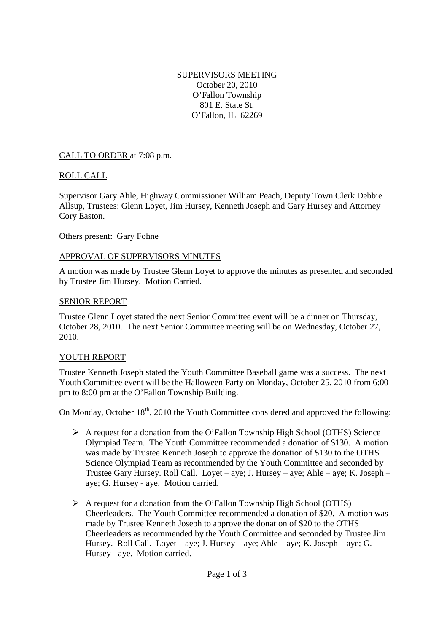#### SUPERVISORS MEETING October 20, 2010 O'Fallon Township 801 E. State St. O'Fallon, IL 62269

CALL TO ORDER at 7:08 p.m.

## ROLL CALL

Supervisor Gary Ahle, Highway Commissioner William Peach, Deputy Town Clerk Debbie Allsup, Trustees: Glenn Loyet, Jim Hursey, Kenneth Joseph and Gary Hursey and Attorney Cory Easton.

Others present: Gary Fohne

### APPROVAL OF SUPERVISORS MINUTES

A motion was made by Trustee Glenn Loyet to approve the minutes as presented and seconded by Trustee Jim Hursey. Motion Carried.

#### SENIOR REPORT

Trustee Glenn Loyet stated the next Senior Committee event will be a dinner on Thursday, October 28, 2010. The next Senior Committee meeting will be on Wednesday, October 27, 2010.

#### YOUTH REPORT

Trustee Kenneth Joseph stated the Youth Committee Baseball game was a success. The next Youth Committee event will be the Halloween Party on Monday, October 25, 2010 from 6:00 pm to 8:00 pm at the O'Fallon Township Building.

On Monday, October 18<sup>th</sup>, 2010 the Youth Committee considered and approved the following:

- A request for a donation from the O'Fallon Township High School (OTHS) Science Olympiad Team. The Youth Committee recommended a donation of \$130. A motion was made by Trustee Kenneth Joseph to approve the donation of \$130 to the OTHS Science Olympiad Team as recommended by the Youth Committee and seconded by Trustee Gary Hursey. Roll Call. Loyet – aye; J. Hursey – aye; Ahle – aye; K. Joseph – aye; G. Hursey - aye. Motion carried.
- A request for a donation from the O'Fallon Township High School (OTHS) Cheerleaders. The Youth Committee recommended a donation of \$20. A motion was made by Trustee Kenneth Joseph to approve the donation of \$20 to the OTHS Cheerleaders as recommended by the Youth Committee and seconded by Trustee Jim Hursey. Roll Call. Loyet – aye; J. Hursey – aye; Ahle – aye; K. Joseph – aye; G. Hursey - aye. Motion carried.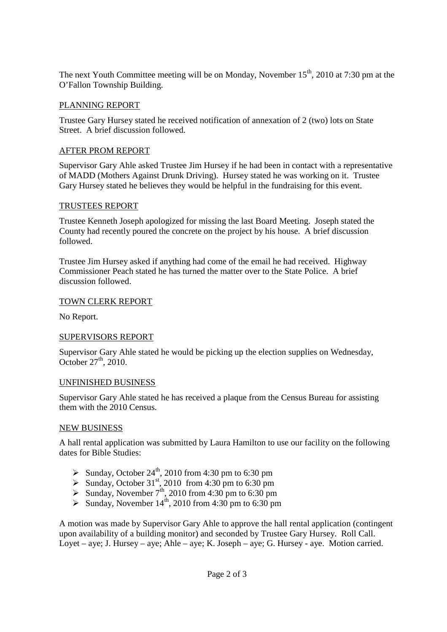The next Youth Committee meeting will be on Monday, November  $15<sup>th</sup>$ , 2010 at 7:30 pm at the O'Fallon Township Building.

## PLANNING REPORT

Trustee Gary Hursey stated he received notification of annexation of 2 (two) lots on State Street. A brief discussion followed.

### AFTER PROM REPORT

Supervisor Gary Ahle asked Trustee Jim Hursey if he had been in contact with a representative of MADD (Mothers Against Drunk Driving). Hursey stated he was working on it. Trustee Gary Hursey stated he believes they would be helpful in the fundraising for this event.

### TRUSTEES REPORT

Trustee Kenneth Joseph apologized for missing the last Board Meeting. Joseph stated the County had recently poured the concrete on the project by his house. A brief discussion followed.

Trustee Jim Hursey asked if anything had come of the email he had received. Highway Commissioner Peach stated he has turned the matter over to the State Police. A brief discussion followed.

### TOWN CLERK REPORT

No Report.

## SUPERVISORS REPORT

Supervisor Gary Ahle stated he would be picking up the election supplies on Wednesday, October  $27<sup>th</sup>$ , 2010.

#### UNFINISHED BUSINESS

Supervisor Gary Ahle stated he has received a plaque from the Census Bureau for assisting them with the 2010 Census.

#### NEW BUSINESS

A hall rental application was submitted by Laura Hamilton to use our facility on the following dates for Bible Studies:

- Sunday, October  $24^{\text{th}}$ , 2010 from 4:30 pm to 6:30 pm
- Sunday, October 31<sup>st</sup>, 2010 from 4:30 pm to 6:30 pm
- Sunday, November  $7<sup>th</sup>$ , 2010 from 4:30 pm to 6:30 pm
- Sunday, November  $14^{th}$ , 2010 from 4:30 pm to 6:30 pm

A motion was made by Supervisor Gary Ahle to approve the hall rental application (contingent upon availability of a building monitor) and seconded by Trustee Gary Hursey. Roll Call. Loyet – aye; J. Hursey – aye; Ahle – aye; K. Joseph – aye; G. Hursey - aye. Motion carried.